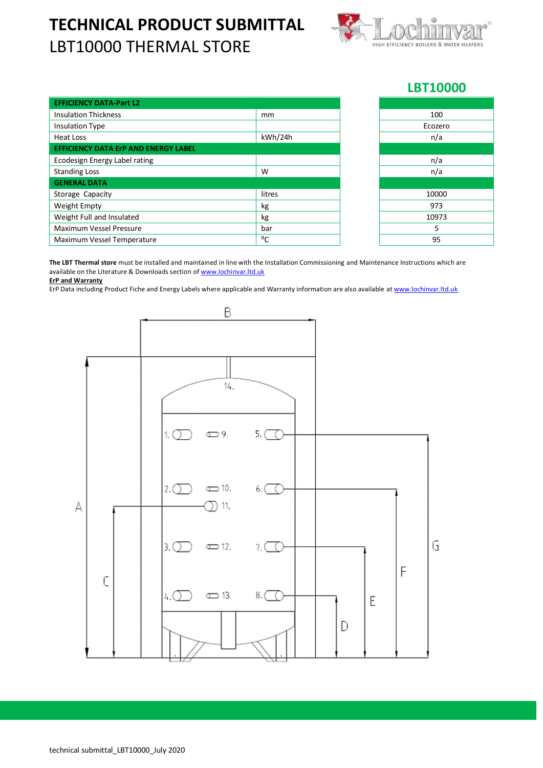## **TECHNICAL PRODUCT SUBMITTAL** LBT10000 THERMAL STORE



## **LBT10000**

| <b>EFFICIENCY DATA-Part L2</b>              |         |
|---------------------------------------------|---------|
| <b>Insulation Thickness</b>                 | mm      |
| <b>Insulation Type</b>                      |         |
| Heat Loss                                   | kWh/24h |
| <b>EFFICIENCY DATA ErP AND ENERGY LABEL</b> |         |
| Ecodesign Energy Label rating               |         |
| <b>Standing Loss</b>                        | W       |
| <b>GENERAL DATA</b>                         |         |
| Storage Capacity                            | litres  |
| Weight Empty                                | kg      |
| Weight Full and Insulated                   | kg      |
| <b>Maximum Vessel Pressure</b>              | bar     |
| Maximum Vessel Temperature                  | °C      |

| 100           |  |  |  |  |  |  |
|---------------|--|--|--|--|--|--|
| Ecozero       |  |  |  |  |  |  |
| n/a           |  |  |  |  |  |  |
|               |  |  |  |  |  |  |
| $\frac{n}{a}$ |  |  |  |  |  |  |
|               |  |  |  |  |  |  |
|               |  |  |  |  |  |  |
| 10000         |  |  |  |  |  |  |
| 973           |  |  |  |  |  |  |
| 10973         |  |  |  |  |  |  |
| 5             |  |  |  |  |  |  |
| 95            |  |  |  |  |  |  |
|               |  |  |  |  |  |  |

**The LBT Thermal store** must be installed and maintained in line with the Installation Commissioning and Maintenance Instructions which are available on the Literature & Downloads section o[f www.lochinvar.ltd.uk](http://www.lochinvar.ltd.uk/) **ErP and Warranty**

ErP Data including Product Fiche and Energy Labels where applicable and Warranty information are also available at [www.lochinvar.ltd.uk](http://www.lochinvar.ltd.uk/)